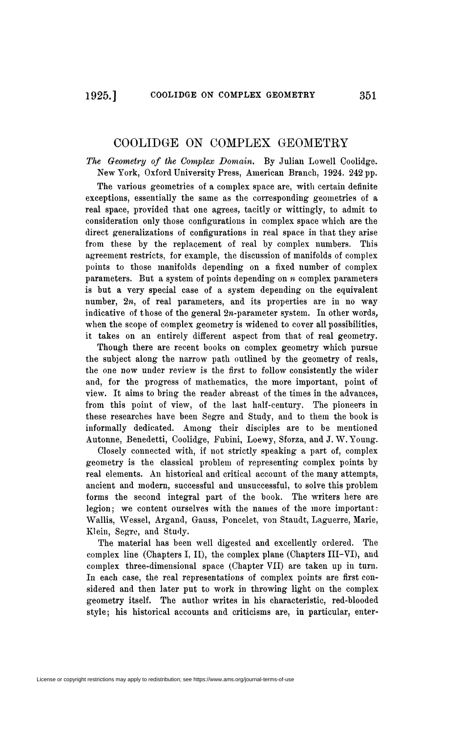## COOLIDGE ON COMPLEX GEOMETRY

*The Geometry of the Complex Domain,* By Julian Lowell Coolidge. New York, Oxford University Press, American Branch, 1924. 242 pp.

The various geometries of a complex space are, with certain definite exceptions, essentially the same as the corresponding geometries of a real space, provided that one agrees, tacitly or wittingly, to admit to consideration only those configurations in complex space which are the direct generalizations of configurations in real space in that they arise from these hy the replacement of real hy complex numbers. This agreement restricts, for example, the discussion of manifolds of complex points to those manifolds depending on a fixed number of complex parameters. But a system of points depending on *n* complex parameters is but a very special case of a system depending on the equivalent number,  $2n$ , of real parameters, and its properties are in no way indicative of those of the general  $2n$ -parameter system. In other words, when the scope of complex geometry is widened to cover all possibilities, it takes on an entirely different aspect from that of real geometry.

Though there are recent books on complex geometry which pursue the subject along the narrow path outlined by the geometry of reals, the one now under review is the first to follow consistently the wider and, for the progress of mathematics, the more important, point of view. It aims to bring the reader abreast of the times in the advances, from this point of view, of the last half-century. The pioneers in these researches have been Segre and Study, and to them the book is informally dedicated. Among their disciples are to be mentioned Autonne, Benedetti, Coolidge, Fubini, Loewy, Sforza, and J. W.Young.

Closely connected with, if not strictly speaking a part of, complex geometry is the classical problem of representing complex points by real elements. An historical and critical account of the many attempts, ancient and modern, successful and unsuccessful, to solve this problem forms the second integral part of the book. The writers here are legion; we content ourselves with the names of the more important: Wallis, Wessel, Argand, Gauss, Poncelet, von Staudt, Laguerre, Marie, Klein, Segre, and Study.

The material has been well digested and excellently ordered. The complex line (Chapters I, II), the complex plane (Chapters III-VI), and complex three-dimensional space (Chapter VII) are taken up in turn. In each case, the real representations of complex points are first considered and then later put to work in throwing light on the complex geometry itself. The author writes in his characteristic, red-blooded style; his historical accounts and criticisms are, in particular, enter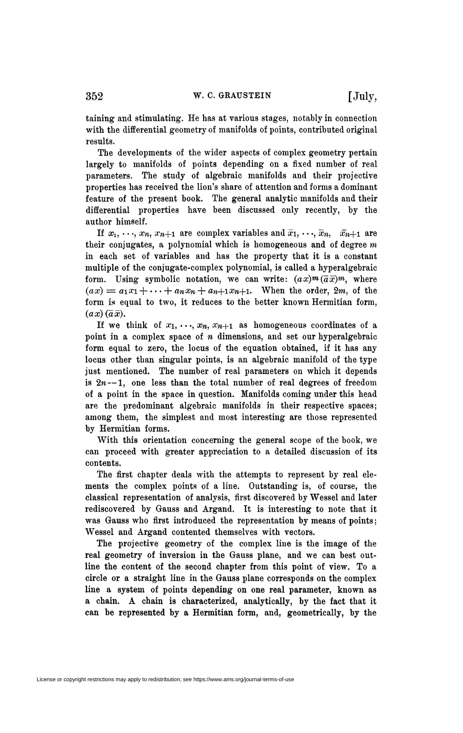taining and stimulating. He has at various stages, notably in connection with the differential geometry of manifolds of points, contributed original results.

The developments of the wider aspects of complex geometry pertain largely to manifolds of points depending on a fixed number of real parameters. The study of algebraic manifolds and their projective properties has received the lion's share of attention and forms a dominant feature of the present book. The general analytic manifolds and their differential properties have been discussed only recently, by the author himself.

If  $x_1, \ldots, x_n, x_{n+1}$  are complex variables and  $\overline{x}_1, \ldots, \overline{x}_n, \overline{x}_{n+1}$  are their conjugates, a polynomial which is homogeneous and of degree *m*  in each set of variables and has the property that it is a constant multiple of the conjugate-complex polynomial, is called a hyperalgebraic form. Using symbolic notation, we can write:  $(ax)^{m}(\overline{a}\overline{x})^{m}$ , where  $f(ax) = a_1x_1 + \cdots + a_nx_n + a_{n+1}x_{n+1}$ . When the order, 2m, of the form is equal to two, it reduces to the better known Hermitian form,  $(ax)$   $(\overline{a}\,\overline{x})$ .

If we think of  $x_1, \ldots, x_n, x_{n+1}$  as homogeneous coordinates of a point in a complex space of *n* dimensions, and set our hyperalgebraic form equal to zero, the locus of the equation obtained, if it has any locus other than singular points, is an algebraic manifold of the type just mentioned. The number of real parameters on which it depends is  $2n - 1$ , one less than the total number of real degrees of freedom of a point in the space in question. Manifolds coming under this head are the predominant algebraic manifolds in their respective spaces; among them, the simplest and most interesting are those represented by Hermitian forms.

With this orientation concerning the general scope of the book, we can proceed with greater appreciation to a detailed discussion of its contents.

The first chapter deals with the attempts to represent by real elements the complex points of a line. Outstanding is, of course, the classical representation of analysis, first discovered by Wessel and later rediscovered by Gauss and Argand. It is interesting to note that it was Gauss who first introduced the representation by means of points ; Wessel and Argand contented themselves with vectors.

The projective geometry of the complex line is the image of the real geometry of inversion in the Gauss plane, and we can best outline the content of the second chapter from this point of view. To a circle or a straight line in the Gauss plane corresponds on the complex line a system of points depending on one real parameter, known as a chain. A chain is characterized, analytically, by the fact that it can be represented by a Hermitian form, and, geometrically, by the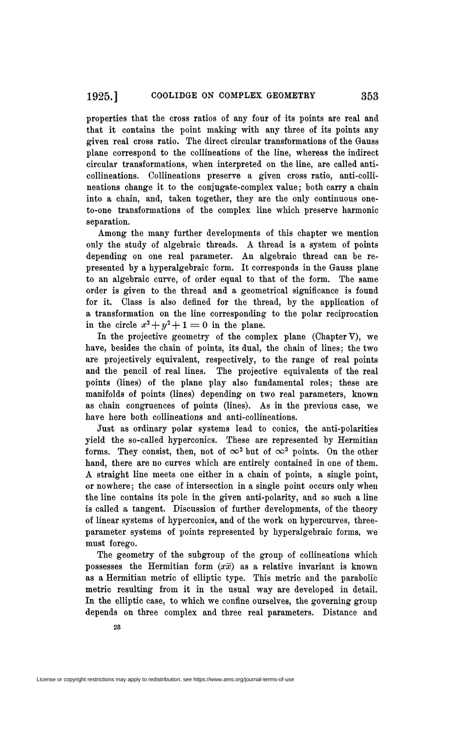properties that the cross ratios of any four of its points are real and that it contains the point making with any three of its points any given real cross ratio. The direct circular transformations of the Gauss plane correspond to the collineations of the line, whereas the indirect circular transformations, when interpreted on the line, are called anticollineations. Collineations preserve a given cross ratio, anti-collineations change it to the conjugate-complex value; both carry a chain into a chain, and, taken together, they are the only continuous oneto-one transformations of the complex line which preserve harmonic separation.

Among the many further developments of this chapter we mention only the study of algebraic threads. A thread is a system of points depending on one real parameter. An algebraic thread can be represented by a hyperalgebraic form. It corresponds in the Gauss plane to an algebraic curve, of order equal to that of the form. The same order is given to the thread and a geometrical significance is found for it. Class is also defined for the thread, by the application of a transformation on the line corresponding to the polar reciprocation in the circle  $x^2 + y^2 + 1 = 0$  in the plane.

In the projective geometry of the complex plane (Chapter V), we have, besides the chain of points, its dual, the chain of lines; the two are projectively equivalent, respectively, to the range of real points and the pencil of real lines. The projective equivalents of the real points (lines) of the plane play also fundamental roles; these are manifolds of points (lines) depending on two real parameters, known as chain congruences of points (lines). As in the previous case, we have here both collineations and anti-collineations.

Just as ordinary polar systems lead to conies, the anti-polarities yield the so-called hyperconics. These are represented by Hermitian forms. They consist, then, not of  $\infty^2$  but of  $\infty^3$  points. On the other hand, there are no curves which are entirely contained in one of them. A straight line meets one either in a chain of points, a single point, or nowhere; the case of intersection in a single point occurs only when the line contains its pole in the given anti-polarity, and so such a line is called a tangent. Discussion of further developments, of the theory of linear systems of hyperconics, and of the work on hypercurves, threeparameter systems of points represented by hyperalgebraic forms, we must forego.

The geometry of the subgroup of the group of collineations which possesses the Hermitian form  $(x\bar{x})$  as a relative invariant is known as a Hermitian metric of elliptic type. This metric and the parabolic metric resulting from it in the usual way are developed in detail. In the elliptic case, to which we confine ourselves, the governing group depends on three complex and three real parameters, Distance and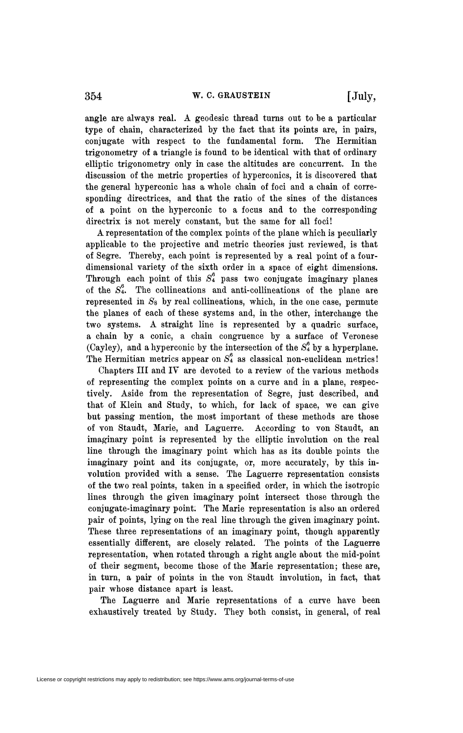angle are always real. A geodesic thread turns out to be a particular type of chain, characterized by the fact that its points are, in pairs, conjugate with respect to the fundamental form. The Hermitian trigonometry of a triangle is found to be identical with that of ordinary elliptic trigonometry only in case the altitudes are concurrent. In the discussion of the metric properties of hyperconics, it is discovered that the general hyperconic has a whole chain of foci and a chain of corresponding directrices, and that the ratio of the sines of the distances of a point on the hyperconic to a focus and to the corresponding directrix is not merely constant, but the same for all foci!

A representation of the complex points of the plane which is peculiarly applicable to the projective and metric theories just reviewed, is that of Segre. Thereby, each point is represented by a real point of a fourdimensional variety of the sixth order in a space of eight dimensions. Through each point of this  $S_4^6$  pass two conjugate imaginary planes of the  $S_4^6$ . The collineations and anti-collineations of the plane are represented in  $S_8$  by real collineations, which, in the one case, permute the planes of each of these systems and, in the other, interchange the two systems. A straight line is represented by a quadric surface, a chain by a conic, a chain congruence by a surface of Veronese (Cayley), and a hyperconic by the intersection of the  $S_4^6$  by a hyperplane. The Hermitian metrics appear on *Si* as classical non-euclidean metrics !

Chapters III and IV are devoted to a review of the various methods of representing the complex points on a curve and in a plane, respectively. Aside from the representation of Segre, just described, and that of Klein and Study, to which, for lack of space, we can give but passing mention, the most important of these methods are those of von Staudt, Marie, and Laguerre. According to von Staudt, an imaginary point is represented by the elliptic involution on the real line through the imaginary point which has as its double points the imaginary point and its conjugate, or, more accurately, by this involution provided with a sense. The Laguerre representation consists of the two real points, taken in a specified order, in which the isotropic lines through the given imaginary point intersect those through the conjugate-imaginary point: The Marie representation is also an ordered pair of points, lying on the real line through the given imaginary point. These three representations of an imaginary point, though apparently essentially different, are closely related. The points of the Laguerre representation, when rotated through a right angle about the mid-point of their segment, become those of the Marie representation; these are, in turn, a pair of points in the von Staudt involution, in fact, that pair whose distance apart is least.

The Laguerre and Marie representations of a curve have been exhaustively treated by Study. They both consist, in general, of real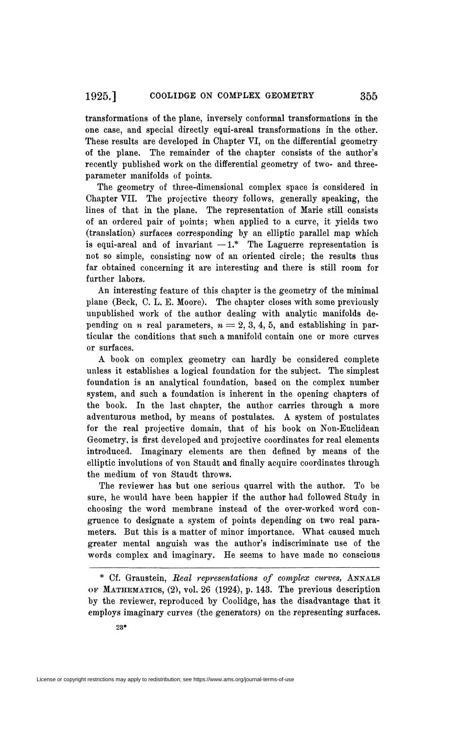transformations of the plane, inversely conformai transformations in the one case, and special directly equi-areal transformations in the other. These results are developed in Chapter VI, on the differential geometry of the plane. The remainder of the chapter consists of the author's recently published work on the differential geometry of two- and threeparameter manifolds of points.

The geometry of three-dimensional complex space is considered in Chapter VII. The projective theory follows, generally speaking, the lines of that in the plane. The representation of Marie still consists of an ordered pair of points; when applied to a curve, it yields two (translation) surfaces corresponding by an elliptic parallel map which is equi-areal and of invariant  $-1$ .\* The Laguerre representation is not so simple, consisting now of an oriented circle; the results thus far obtained concerning it are interesting and there is still room for further labors.

An interesting feature of this chapter is the geometry of the minimal plane (Beck, C. L, E. Moore). The chapter closes with some previously unpublished work of the author dealing with analytic manifolds depending on *n* real parameters,  $n = 2, 3, 4, 5$ , and establishing in particular the conditions that such a manifold contain one or more curves or surfaces.

A book on complex geometry can hardly be considered complete unless it establishes a logical foundation for the subject. The simplest foundation is an analytical foundation, based on the complex number system, and such a foundation is inherent in the opening chapters of the book. In the last chapter, the author carries through a more adventurous method, by means of postulates. A system of postulates for the real projective domain, that of his book on Non-Euclidean Geometry, is first developed and projective coordinates for real elements introduced. Imaginary elements are then defined by means of the elliptic involutions of von Staudt and finally acquire coordinates through the medium of von Staudt throws.

The reviewer has but one serious quarrel with the author. To be sure, he would have been happier if the author had followed Study in choosing the word membrane instead of the over-worked word congruence to designate a system of points depending on two real parameters. But this is a matter of minor importance, What caused much greater mental anguish was the author's indiscriminate use of the words complex and imaginary. He seems to have made no conscious

\* Cf. Graustein, *Real representations of complex curves,* ANNALS OF MATHEMATICS, (2), vol. 26 (1924), p. 143. The previous description by the reviewer, reproduced by Coolidge, has the disadvantage that it employs imaginary curves (the generators) on the representing surfaces.

License or copyright restrictions may apply to redistribution; see https://www.ams.org/journal-terms-of-use